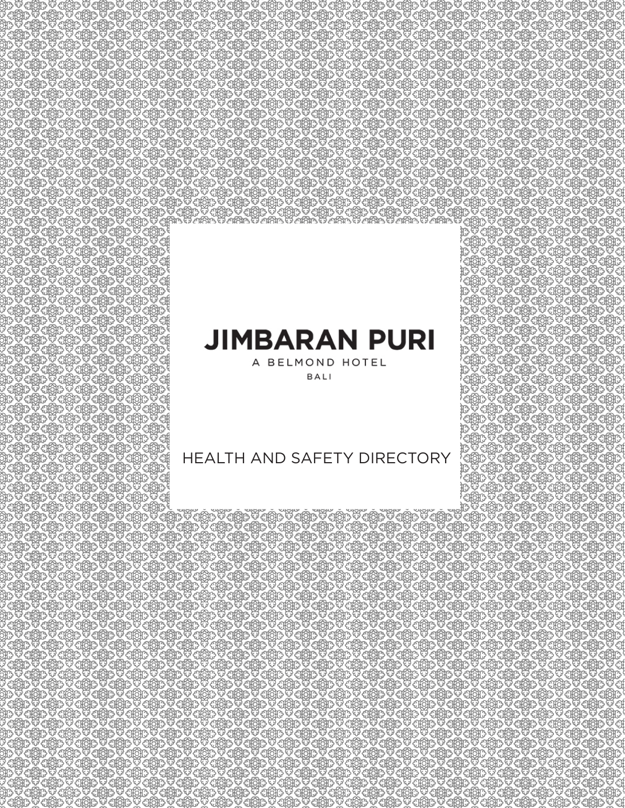# **JIMBARAN PURI**

A BELMOND HOTEL BALI

## HEALTH AND SAFETY DIRECTORY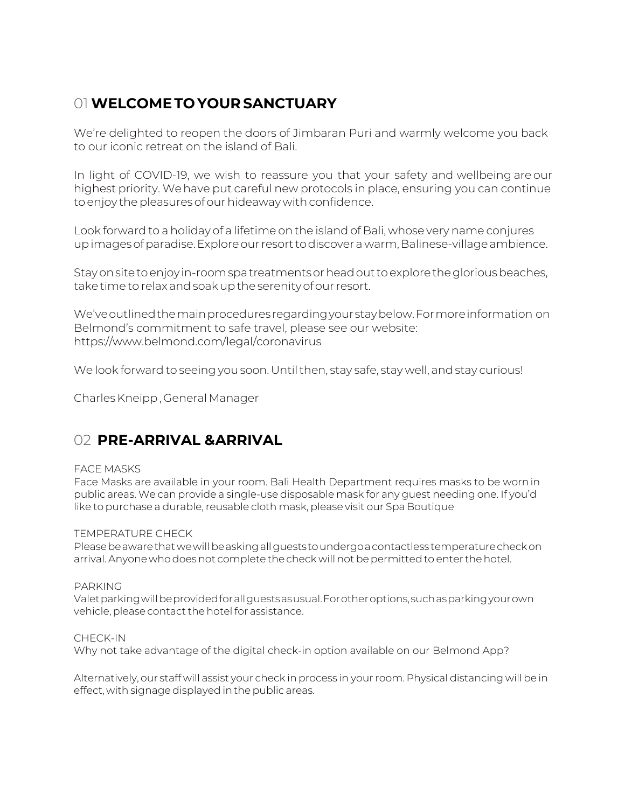## 01 **WELCOME TO YOUR SANCTUARY**

We're delighted to reopen the doors of Jimbaran Puri and warmly welcome you back to our iconic retreat on the island of Bali.

In light of COVID-19, we wish to reassure you that your safety and wellbeing are our highest priority. Wehave put careful new protocols in place, ensuring you can continue to enjoy the pleasures of our hideaway with confidence.

Look forward to a holiday of a lifetime on the island of Bali, whose very name conjures up images of paradise. Explore our resort to discover a warm, Balinese-village ambience.

Stay on site to enjoy in-room spa treatments or head out to explore the glorious beaches, take time to relax and soak up the serenity of our resort.

We've outlined the main procedures regarding your stay below. For more information on Belmond's commitment to safe travel, please see our website: https://www.belm[ond.com/legal/coronavirus](http://www.belmond.com/legal/coronovirus)

We look forward to seeing you soon. Until then, stay safe, stay well, and stay curious!

Charles Kneipp , General Manager

## 02 **PRE-ARRIVAL & ARRIVAL**

#### FACE MASKS

Face Masks are available in your room. Bali Health Department requires masks to be worn in public areas. We can provide a single-use disposable mask for any guest needing one. If you'd like to purchase a durable, reusable cloth mask, please visit our Spa Boutique

#### TEMPERATURE CHECK

Please be aware that we will be asking all guests to undergo a contactless temperature check on arrival. Anyone who does not complete the check will not be permitted to enter the hotel.

#### PARKING

Valet parking will be provided for all guests as usual. For other options, such as parking your own vehicle, please contact the hotel for assistance.

#### CHECK-IN

Why not take advantage of the digital check-in option available on our Belmond App?

Alternatively, our staff will assist your check in process in your room. Physical distancing will be in effect, with signage displayed in the public areas.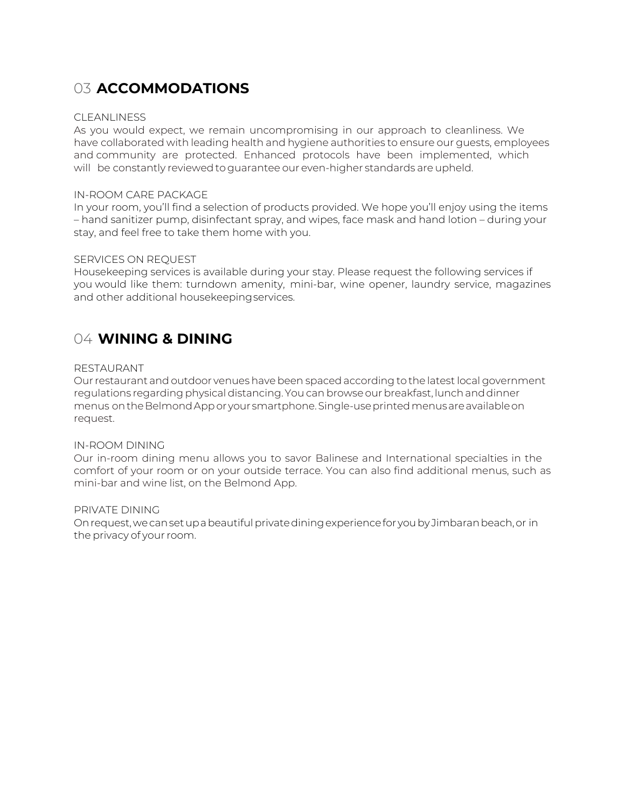## 03 **ACCOMMODATIONS**

#### CLEANLINESS

As you would expect, we remain uncompromising in our approach to cleanliness. We have collaborated with leading health and hygiene authorities to ensure our guests, employees and community are protected. Enhanced protocols have been implemented, which will be constantly reviewed to guarantee our even-higher standards are upheld.

#### IN-ROOM CARE PACKAGE

In your room, you'll find a selection of products provided. We hope you'll enjoy using the items – hand sanitizer pump, disinfectant spray, and wipes, face mask and hand lotion – during your stay, and feel free to take them home with you.

#### SERVICES ON REQUEST

Housekeeping services is available during your stay. Please request the following services if you would like them: turndown amenity, mini-bar, wine opener, laundry service, magazines and other additional housekeeping services.

### 04 **WINING & DINING**

#### RESTAURANT

Our restaurant and outdoor venues have been spaced according to the latest local government regulations regarding physical distancing. You can browse our breakfast, lunch and dinner menus onthe Belmond App or your smartphone. Single-use printed menus are available on request.

#### IN-ROOM DINING

Our in-room dining menu allows you to savor Balinese and International specialties in the comfort of your room or on your outside terrace. You can also find additional menus, such as mini-bar and wine list, on the Belmond App.

#### PRIVATE DINING

On request, we can set up a beautiful private dining experience for you by Jimbaran beach, or in the privacy of your room.